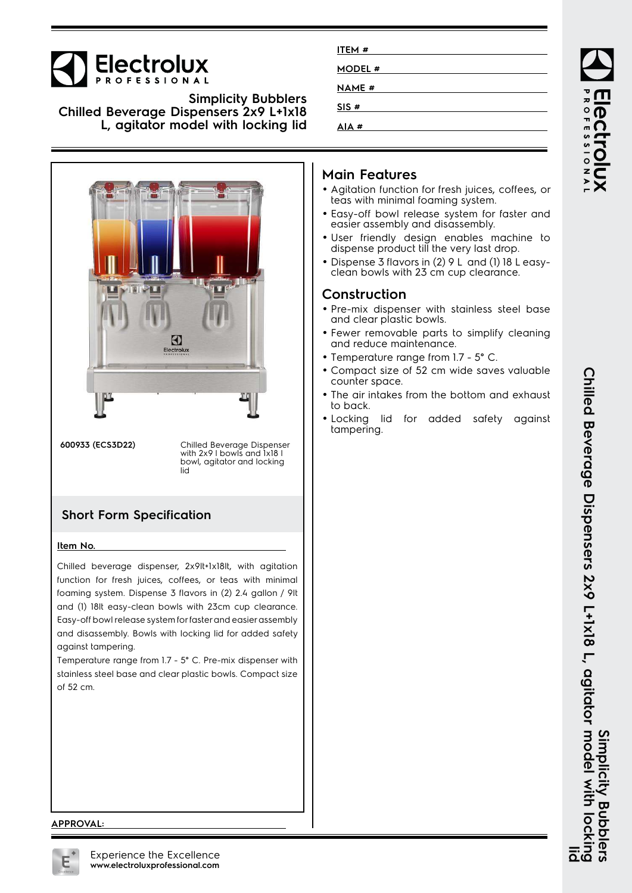# Electrolux

**Simplicity Bubblers Chilled Beverage Dispensers 2x9 L+1x18 L, agitator model with locking lid**



**600933 (ECS3D22)** Chilled Beverage Dispenser with 2x9 I bowls and 1x18 I bowl, agitator and locking lid

## **Short Form Specification**

#### **Item No.**

Chilled beverage dispenser, 2x9lt+1x18lt, with agitation function for fresh juices, coffees, or teas with minimal foaming system. Dispense 3 flavors in (2) 2.4 gallon / 9lt and (1) 18lt easy-clean bowls with 23cm cup clearance. Easy-off bowl release system for faster and easier assembly and disassembly. Bowls with locking lid for added safety against tampering.

Temperature range from 1.7 - 5° C. Pre-mix dispenser with stainless steel base and clear plastic bowls. Compact size of 52 cm.

| ITEM#        |  |
|--------------|--|
| MODEL #      |  |
| <b>NAME#</b> |  |
| SIS#         |  |
| AIA#         |  |

### **Main Features**

- Agitation function for fresh juices, coffees, or teas with minimal foaming system.
- Easy-off bowl release system for faster and easier assembly and disassembly.
- User friendly design enables machine to dispense product till the very last drop.
- Dispense 3 flavors in (2) 9 L and (1) 18 L easyclean bowls with 23 cm cup clearance.

#### **Construction**

- Pre-mix dispenser with stainless steel base and clear plastic bowls.
- Fewer removable parts to simplify cleaning and reduce maintenance.
- Temperature range from 1.7 5° C.
- Compact size of 52 cm wide saves valuable counter space.
- • The air intakes from the bottom and exhaust to back.
- Locking lid for added safety against tampering.

**APPROVAL:**